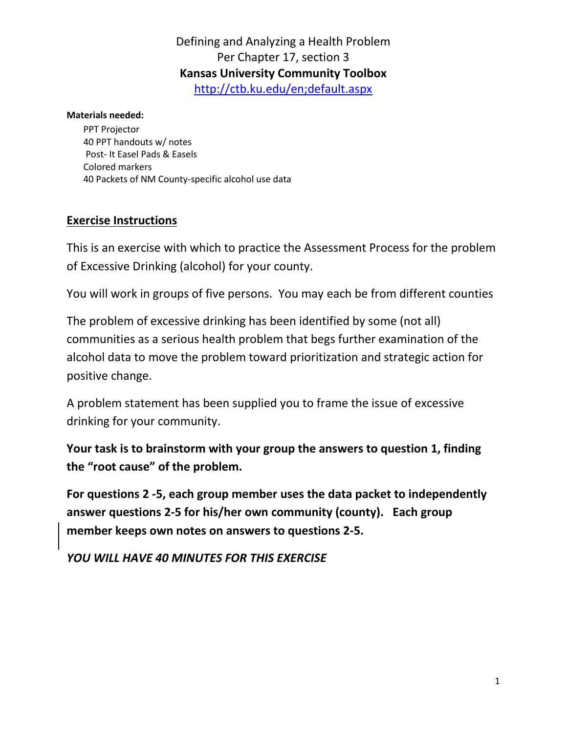# Defining and Analyzing a Health Problem Per Chapter 17, section 3 **Kansas University Community Toolbox** http://ctb.ku.edu/en;default.aspx

#### **Materials needed:**

PPT Projector 40 PPT handouts w/ notes Post- It Easel Pads & Easels Colored markers 40 Packets of NM County-specific alcohol use data

### **Exercise Instructions**

This is an exercise with which to practice the Assessment Process for the problem of Excessive Drinking (alcohol) for your county.

You will work in groups of five persons. You may each be from different counties

The problem of excessive drinking has been identified by some (not all) communities as a serious health problem that begs further examination of the alcohol data to move the problem toward prioritization and strategic action for positive change.

A problem statement has been supplied you to frame the issue of excessive drinking for your community.

**Your task is to brainstorm with your group the answers to question 1, finding the "root cause" of the problem.**

**For questions 2 -5, each group member uses the data packet to independently answer questions 2-5 for his/her own community (county). Each group member keeps own notes on answers to questions 2-5.**

*YOU WILL HAVE 40 MINUTES FOR THIS EXERCISE*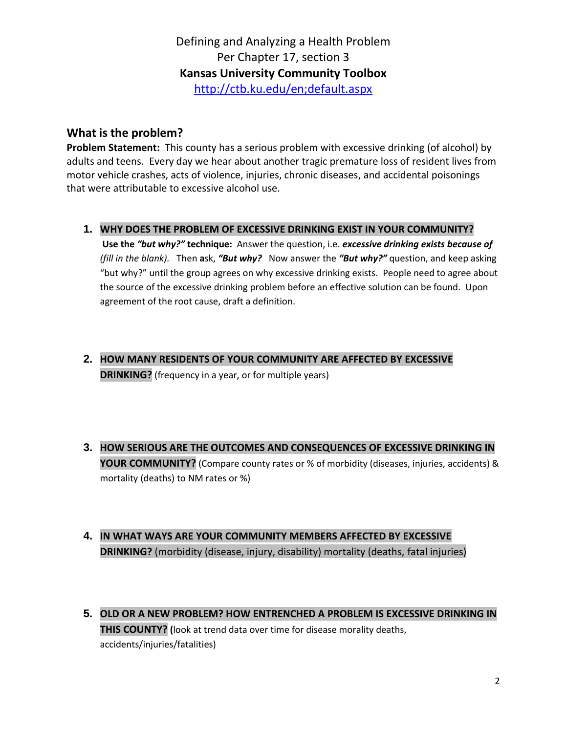## Defining and Analyzing a Health Problem Per Chapter 17, section 3 **Kansas University Community Toolbox** http://ctb.ku.edu/en;default.aspx

### **What is the problem?**

**Problem Statement:** This county has a serious problem with excessive drinking (of alcohol) by adults and teens. Every day we hear about another tragic premature loss of resident lives from motor vehicle crashes, acts of violence, injuries, chronic diseases, and accidental poisonings that were attributable to excessive alcohol use.

**1. WHY DOES THE PROBLEM OF EXCESSIVE DRINKING EXIST IN YOUR COMMUNITY?**

**Use the** *"but why?"* **technique:** Answer the question, i.e. *excessive drinking exists because of (fill in the blank).* Then **a**sk, *"But why?* Now answer the *"But why?"* question, and keep asking "but why?" until the group agrees on why excessive drinking exists. People need to agree about the source of the excessive drinking problem before an effective solution can be found. Upon agreement of the root cause, draft a definition.

- **2. HOW MANY RESIDENTS OF YOUR COMMUNITY ARE AFFECTED BY EXCESSIVE DRINKING?** (frequency in a year, or for multiple years)
- **3. HOW SERIOUS ARE THE OUTCOMES AND CONSEQUENCES OF EXCESSIVE DRINKING IN YOUR COMMUNITY?** (Compare county rates or % of morbidity (diseases, injuries, accidents) & mortality (deaths) to NM rates or %)
- **4. IN WHAT WAYS ARE YOUR COMMUNITY MEMBERS AFFECTED BY EXCESSIVE DRINKING?** (morbidity (disease, injury, disability) mortality (deaths, fatal injuries)
- **5. OLD OR A NEW PROBLEM? HOW ENTRENCHED A PROBLEM IS EXCESSIVE DRINKING IN THIS COUNTY? (**look at trend data over time for disease morality deaths, accidents/injuries/fatalities)